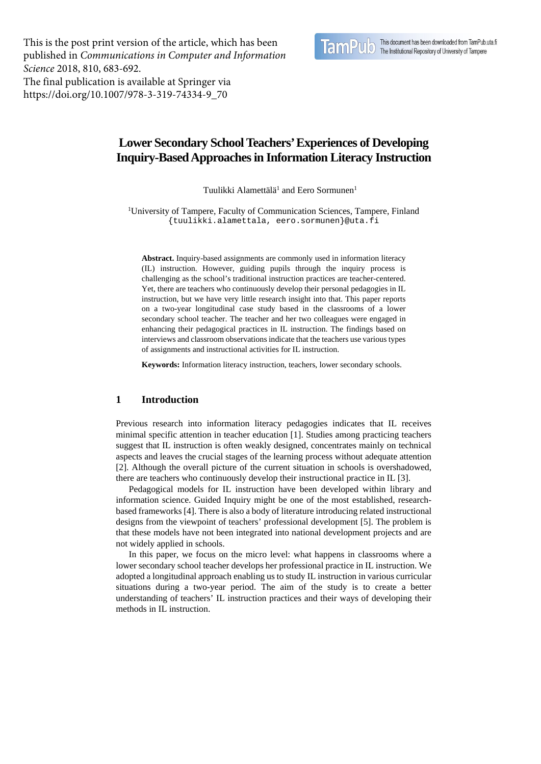This is the post print version of the article, which has been published in *Communications in Computer and Information Science* 2018, 810, 683-692. The final publication is available at Springer via https://doi.org/10.1007/978-3-319-74334-9\_70

# **Lower Secondary School Teachers' Experiences of Developing Inquiry-Based Approaches in Information Literacy Instruction**

Tuulikki Alamettälä<sup>1</sup> and Eero Sormunen<sup>1</sup>

<sup>1</sup>University of Tampere, Faculty of Communication Sciences, Tampere, Finland {tuulikki.alamettala, [eero.sormunen}@uta.fi](mailto:nwmerd%7d@utu.fi)

**Abstract.** Inquiry-based assignments are commonly used in information literacy (IL) instruction. However, guiding pupils through the inquiry process is challenging as the school's traditional instruction practices are teacher-centered. Yet, there are teachers who continuously develop their personal pedagogies in IL instruction, but we have very little research insight into that. This paper reports on a two-year longitudinal case study based in the classrooms of a lower secondary school teacher. The teacher and her two colleagues were engaged in enhancing their pedagogical practices in IL instruction. The findings based on interviews and classroom observations indicate that the teachers use various types of assignments and instructional activities for IL instruction.

**Keywords:** Information literacy instruction, teachers, lower secondary schools.

## **1 Introduction**

Previous research into information literacy pedagogies indicates that IL receives minimal specific attention in teacher education [1]. Studies among practicing teachers suggest that IL instruction is often weakly designed, concentrates mainly on technical aspects and leaves the crucial stages of the learning process without adequate attention [2]. Although the overall picture of the current situation in schools is overshadowed, there are teachers who continuously develop their instructional practice in IL [3].

Pedagogical models for IL instruction have been developed within library and information science. Guided Inquiry might be one of the most established, researchbased frameworks [4]. There is also a body of literature introducing related instructional designs from the viewpoint of teachers' professional development [5]. The problem is that these models have not been integrated into national development projects and are not widely applied in schools.

In this paper, we focus on the micro level: what happens in classrooms where a lower secondary school teacher develops her professional practice in IL instruction. We adopted a longitudinal approach enabling us to study IL instruction in various curricular situations during a two-year period. The aim of the study is to create a better understanding of teachers' IL instruction practices and their ways of developing their methods in IL instruction.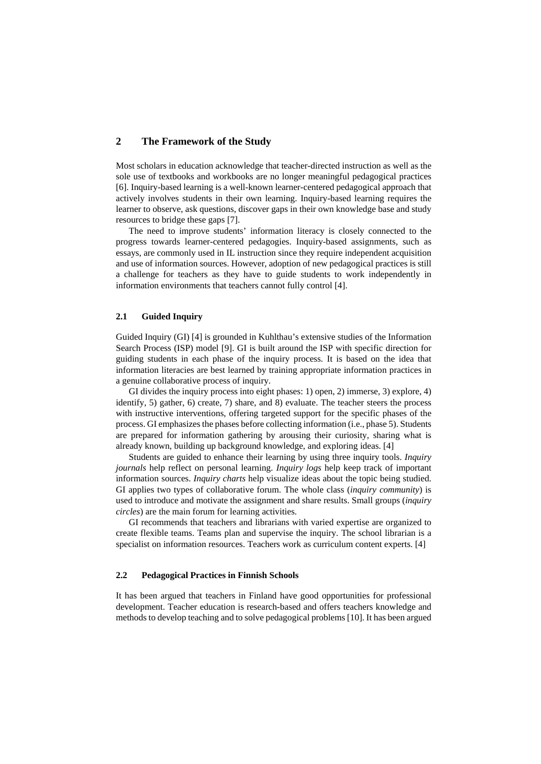# **2 The Framework of the Study**

Most scholars in education acknowledge that teacher-directed instruction as well as the sole use of textbooks and workbooks are no longer meaningful pedagogical practices [6]. Inquiry-based learning is a well-known learner-centered pedagogical approach that actively involves students in their own learning. Inquiry-based learning requires the learner to observe, ask questions, discover gaps in their own knowledge base and study resources to bridge these gaps [7].

The need to improve students' information literacy is closely connected to the progress towards learner-centered pedagogies. Inquiry-based assignments, such as essays, are commonly used in IL instruction since they require independent acquisition and use of information sources. However, adoption of new pedagogical practices is still a challenge for teachers as they have to guide students to work independently in information environments that teachers cannot fully control [4].

# **2.1 Guided Inquiry**

Guided Inquiry (GI) [4] is grounded in Kuhlthau's extensive studies of the Information Search Process (ISP) model [9]. GI is built around the ISP with specific direction for guiding students in each phase of the inquiry process. It is based on the idea that information literacies are best learned by training appropriate information practices in a genuine collaborative process of inquiry.

GI divides the inquiry process into eight phases: 1) open, 2) immerse, 3) explore, 4) identify, 5) gather, 6) create, 7) share, and 8) evaluate. The teacher steers the process with instructive interventions, offering targeted support for the specific phases of the process. GI emphasizes the phases before collecting information (i.e., phase 5). Students are prepared for information gathering by arousing their curiosity, sharing what is already known, building up background knowledge, and exploring ideas. [4]

Students are guided to enhance their learning by using three inquiry tools. *Inquiry journals* help reflect on personal learning. *Inquiry logs* help keep track of important information sources. *Inquiry charts* help visualize ideas about the topic being studied. GI applies two types of collaborative forum. The whole class (*inquiry community*) is used to introduce and motivate the assignment and share results. Small groups (*inquiry circles*) are the main forum for learning activities.

GI recommends that teachers and librarians with varied expertise are organized to create flexible teams. Teams plan and supervise the inquiry. The school librarian is a specialist on information resources. Teachers work as curriculum content experts. [4]

### **2.2 Pedagogical Practices in Finnish Schools**

It has been argued that teachers in Finland have good opportunities for professional development. Teacher education is research-based and offers teachers knowledge and methods to develop teaching and to solve pedagogical problems [10]. It has been argued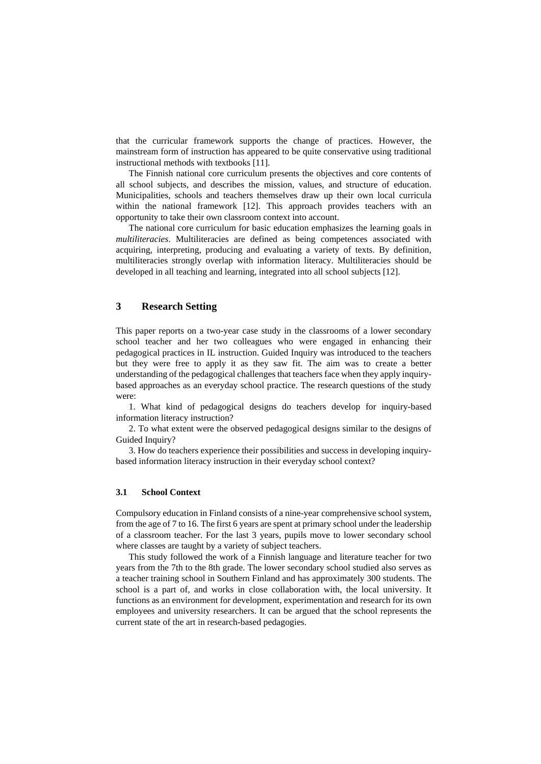that the curricular framework supports the change of practices. However, the mainstream form of instruction has appeared to be quite conservative using traditional instructional methods with textbooks [11].

The Finnish national core curriculum presents the objectives and core contents of all school subjects, and describes the mission, values, and structure of education. Municipalities, schools and teachers themselves draw up their own local curricula within the national framework [12]. This approach provides teachers with an opportunity to take their own classroom context into account.

The national core curriculum for basic education emphasizes the learning goals in *multiliteracies*. Multiliteracies are defined as being competences associated with acquiring, interpreting, producing and evaluating a variety of texts. By definition, multiliteracies strongly overlap with information literacy. Multiliteracies should be developed in all teaching and learning, integrated into all school subjects [12].

# **3 Research Setting**

This paper reports on a two-year case study in the classrooms of a lower secondary school teacher and her two colleagues who were engaged in enhancing their pedagogical practices in IL instruction. Guided Inquiry was introduced to the teachers but they were free to apply it as they saw fit. The aim was to create a better understanding of the pedagogical challenges that teachers face when they apply inquirybased approaches as an everyday school practice. The research questions of the study were:

1. What kind of pedagogical designs do teachers develop for inquiry-based information literacy instruction?

2. To what extent were the observed pedagogical designs similar to the designs of Guided Inquiry?

3. How do teachers experience their possibilities and success in developing inquirybased information literacy instruction in their everyday school context?

# **3.1 School Context**

Compulsory education in Finland consists of a nine-year comprehensive school system, from the age of 7 to 16. The first 6 years are spent at primary school under the leadership of a classroom teacher. For the last 3 years, pupils move to lower secondary school where classes are taught by a variety of subject teachers.

This study followed the work of a Finnish language and literature teacher for two years from the 7th to the 8th grade. The lower secondary school studied also serves as a teacher training school in Southern Finland and has approximately 300 students. The school is a part of, and works in close collaboration with, the local university. It functions as an environment for development, experimentation and research for its own employees and university researchers. It can be argued that the school represents the current state of the art in research-based pedagogies.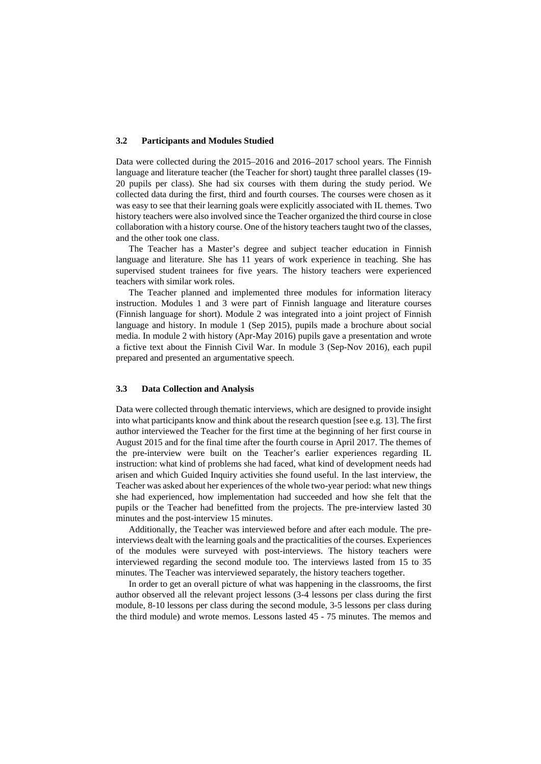#### **3.2 Participants and Modules Studied**

Data were collected during the 2015–2016 and 2016–2017 school years. The Finnish language and literature teacher (the Teacher for short) taught three parallel classes (19- 20 pupils per class). She had six courses with them during the study period. We collected data during the first, third and fourth courses. The courses were chosen as it was easy to see that their learning goals were explicitly associated with IL themes. Two history teachers were also involved since the Teacher organized the third course in close collaboration with a history course. One of the history teachers taught two of the classes, and the other took one class.

The Teacher has a Master's degree and subject teacher education in Finnish language and literature. She has 11 years of work experience in teaching. She has supervised student trainees for five years. The history teachers were experienced teachers with similar work roles.

The Teacher planned and implemented three modules for information literacy instruction. Modules 1 and 3 were part of Finnish language and literature courses (Finnish language for short). Module 2 was integrated into a joint project of Finnish language and history. In module 1 (Sep 2015), pupils made a brochure about social media. In module 2 with history (Apr-May 2016) pupils gave a presentation and wrote a fictive text about the Finnish Civil War. In module 3 (Sep-Nov 2016), each pupil prepared and presented an argumentative speech.

#### **3.3 Data Collection and Analysis**

Data were collected through thematic interviews, which are designed to provide insight into what participants know and think about the research question [see e.g. 13]. The first author interviewed the Teacher for the first time at the beginning of her first course in August 2015 and for the final time after the fourth course in April 2017. The themes of the pre-interview were built on the Teacher's earlier experiences regarding IL instruction: what kind of problems she had faced, what kind of development needs had arisen and which Guided Inquiry activities she found useful. In the last interview, the Teacher was asked about her experiences of the whole two-year period: what new things she had experienced, how implementation had succeeded and how she felt that the pupils or the Teacher had benefitted from the projects. The pre-interview lasted 30 minutes and the post-interview 15 minutes.

Additionally, the Teacher was interviewed before and after each module. The preinterviews dealt with the learning goals and the practicalities of the courses. Experiences of the modules were surveyed with post-interviews. The history teachers were interviewed regarding the second module too. The interviews lasted from 15 to 35 minutes. The Teacher was interviewed separately, the history teachers together.

In order to get an overall picture of what was happening in the classrooms, the first author observed all the relevant project lessons (3-4 lessons per class during the first module, 8-10 lessons per class during the second module, 3-5 lessons per class during the third module) and wrote memos. Lessons lasted 45 - 75 minutes. The memos and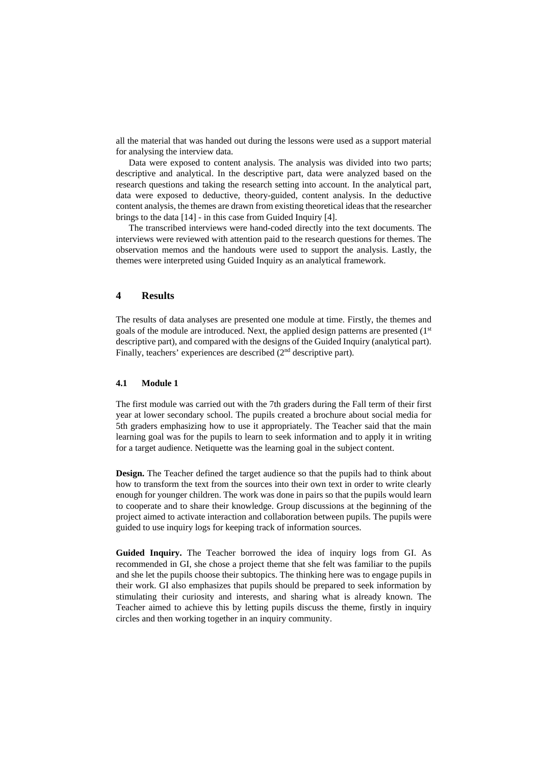all the material that was handed out during the lessons were used as a support material for analysing the interview data.

Data were exposed to content analysis. The analysis was divided into two parts; descriptive and analytical. In the descriptive part, data were analyzed based on the research questions and taking the research setting into account. In the analytical part, data were exposed to deductive, theory-guided, content analysis. In the deductive content analysis, the themes are drawn from existing theoretical ideas that the researcher brings to the data [14] - in this case from Guided Inquiry [4].

The transcribed interviews were hand-coded directly into the text documents. The interviews were reviewed with attention paid to the research questions for themes. The observation memos and the handouts were used to support the analysis. Lastly, the themes were interpreted using Guided Inquiry as an analytical framework.

# **4 Results**

The results of data analyses are presented one module at time. Firstly, the themes and goals of the module are introduced. Next, the applied design patterns are presented (1<sup>st</sup> descriptive part), and compared with the designs of the Guided Inquiry (analytical part). Finally, teachers' experiences are described (2<sup>nd</sup> descriptive part).

### **4.1 Module 1**

The first module was carried out with the 7th graders during the Fall term of their first year at lower secondary school. The pupils created a brochure about social media for 5th graders emphasizing how to use it appropriately. The Teacher said that the main learning goal was for the pupils to learn to seek information and to apply it in writing for a target audience. Netiquette was the learning goal in the subject content.

**Design.** The Teacher defined the target audience so that the pupils had to think about how to transform the text from the sources into their own text in order to write clearly enough for younger children. The work was done in pairs so that the pupils would learn to cooperate and to share their knowledge. Group discussions at the beginning of the project aimed to activate interaction and collaboration between pupils. The pupils were guided to use inquiry logs for keeping track of information sources.

**Guided Inquiry.** The Teacher borrowed the idea of inquiry logs from GI. As recommended in GI, she chose a project theme that she felt was familiar to the pupils and she let the pupils choose their subtopics. The thinking here was to engage pupils in their work. GI also emphasizes that pupils should be prepared to seek information by stimulating their curiosity and interests, and sharing what is already known. The Teacher aimed to achieve this by letting pupils discuss the theme, firstly in inquiry circles and then working together in an inquiry community.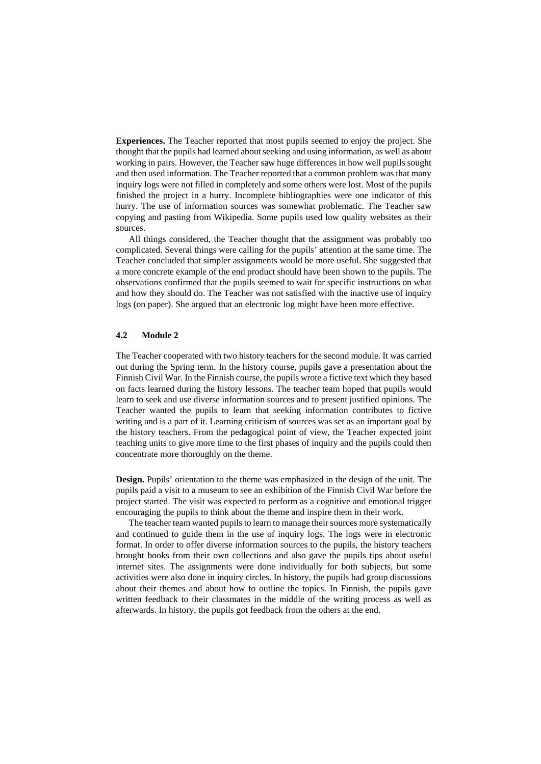**Experiences.** The Teacher reported that most pupils seemed to enjoy the project. She thought that the pupils had learned about seeking and using information, as well as about working in pairs. However, the Teacher saw huge differences in how well pupils sought and then used information. The Teacher reported that a common problem was that many inquiry logs were not filled in completely and some others were lost. Most of the pupils finished the project in a hurry. Incomplete bibliographies were one indicator of this hurry. The use of information sources was somewhat problematic. The Teacher saw copying and pasting from Wikipedia. Some pupils used low quality websites as their sources.

All things considered, the Teacher thought that the assignment was probably too complicated. Several things were calling for the pupils' attention at the same time. The Teacher concluded that simpler assignments would be more useful. She suggested that a more concrete example of the end product should have been shown to the pupils. The observations confirmed that the pupils seemed to wait for specific instructions on what and how they should do. The Teacher was not satisfied with the inactive use of inquiry logs (on paper). She argued that an electronic log might have been more effective.

# **4.2 Module 2**

The Teacher cooperated with two history teachers for the second module. It was carried out during the Spring term. In the history course, pupils gave a presentation about the Finnish Civil War. In the Finnish course, the pupils wrote a fictive text which they based on facts learned during the history lessons. The teacher team hoped that pupils would learn to seek and use diverse information sources and to present justified opinions. The Teacher wanted the pupils to learn that seeking information contributes to fictive writing and is a part of it. Learning criticism of sources was set as an important goal by the history teachers. From the pedagogical point of view, the Teacher expected joint teaching units to give more time to the first phases of inquiry and the pupils could then concentrate more thoroughly on the theme.

**Design.** Pupils' orientation to the theme was emphasized in the design of the unit. The pupils paid a visit to a museum to see an exhibition of the Finnish Civil War before the project started. The visit was expected to perform as a cognitive and emotional trigger encouraging the pupils to think about the theme and inspire them in their work.

The teacher team wanted pupils to learn to manage their sources more systematically and continued to guide them in the use of inquiry logs. The logs were in electronic format. In order to offer diverse information sources to the pupils, the history teachers brought books from their own collections and also gave the pupils tips about useful internet sites. The assignments were done individually for both subjects, but some activities were also done in inquiry circles. In history, the pupils had group discussions about their themes and about how to outline the topics. In Finnish, the pupils gave written feedback to their classmates in the middle of the writing process as well as afterwards. In history, the pupils got feedback from the others at the end.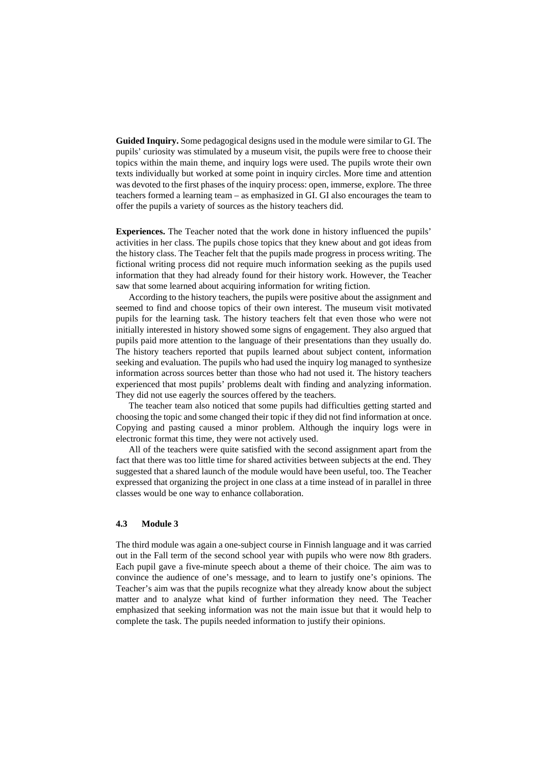**Guided Inquiry.** Some pedagogical designs used in the module were similar to GI. The pupils' curiosity was stimulated by a museum visit, the pupils were free to choose their topics within the main theme, and inquiry logs were used. The pupils wrote their own texts individually but worked at some point in inquiry circles. More time and attention was devoted to the first phases of the inquiry process: open, immerse, explore. The three teachers formed a learning team – as emphasized in GI. GI also encourages the team to offer the pupils a variety of sources as the history teachers did.

**Experiences.** The Teacher noted that the work done in history influenced the pupils' activities in her class. The pupils chose topics that they knew about and got ideas from the history class. The Teacher felt that the pupils made progress in process writing. The fictional writing process did not require much information seeking as the pupils used information that they had already found for their history work. However, the Teacher saw that some learned about acquiring information for writing fiction.

According to the history teachers, the pupils were positive about the assignment and seemed to find and choose topics of their own interest. The museum visit motivated pupils for the learning task. The history teachers felt that even those who were not initially interested in history showed some signs of engagement. They also argued that pupils paid more attention to the language of their presentations than they usually do. The history teachers reported that pupils learned about subject content, information seeking and evaluation. The pupils who had used the inquiry log managed to synthesize information across sources better than those who had not used it. The history teachers experienced that most pupils' problems dealt with finding and analyzing information. They did not use eagerly the sources offered by the teachers.

The teacher team also noticed that some pupils had difficulties getting started and choosing the topic and some changed their topic if they did not find information at once. Copying and pasting caused a minor problem. Although the inquiry logs were in electronic format this time, they were not actively used.

All of the teachers were quite satisfied with the second assignment apart from the fact that there was too little time for shared activities between subjects at the end. They suggested that a shared launch of the module would have been useful, too. The Teacher expressed that organizing the project in one class at a time instead of in parallel in three classes would be one way to enhance collaboration.

#### **4.3 Module 3**

The third module was again a one-subject course in Finnish language and it was carried out in the Fall term of the second school year with pupils who were now 8th graders. Each pupil gave a five-minute speech about a theme of their choice. The aim was to convince the audience of one's message, and to learn to justify one's opinions. The Teacher's aim was that the pupils recognize what they already know about the subject matter and to analyze what kind of further information they need. The Teacher emphasized that seeking information was not the main issue but that it would help to complete the task. The pupils needed information to justify their opinions.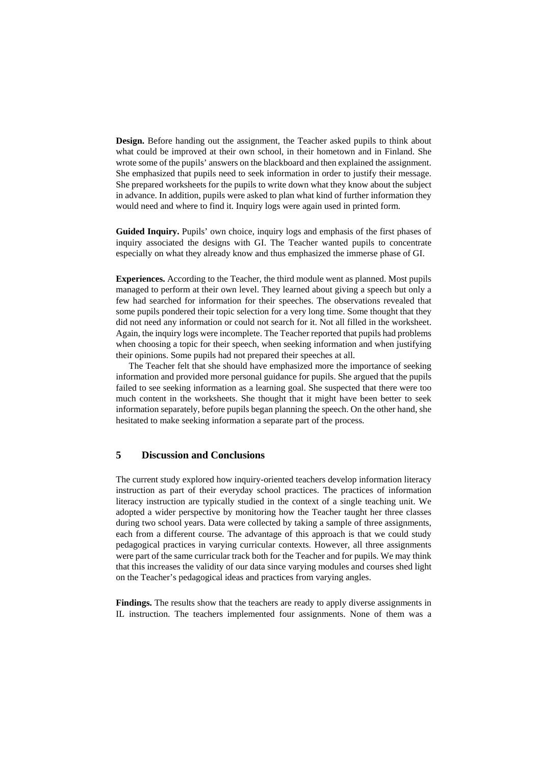**Design.** Before handing out the assignment, the Teacher asked pupils to think about what could be improved at their own school, in their hometown and in Finland. She wrote some of the pupils' answers on the blackboard and then explained the assignment. She emphasized that pupils need to seek information in order to justify their message. She prepared worksheets for the pupils to write down what they know about the subject in advance. In addition, pupils were asked to plan what kind of further information they would need and where to find it. Inquiry logs were again used in printed form.

**Guided Inquiry.** Pupils' own choice, inquiry logs and emphasis of the first phases of inquiry associated the designs with GI. The Teacher wanted pupils to concentrate especially on what they already know and thus emphasized the immerse phase of GI.

**Experiences.** According to the Teacher, the third module went as planned. Most pupils managed to perform at their own level. They learned about giving a speech but only a few had searched for information for their speeches. The observations revealed that some pupils pondered their topic selection for a very long time. Some thought that they did not need any information or could not search for it. Not all filled in the worksheet. Again, the inquiry logs were incomplete. The Teacher reported that pupils had problems when choosing a topic for their speech, when seeking information and when justifying their opinions. Some pupils had not prepared their speeches at all.

The Teacher felt that she should have emphasized more the importance of seeking information and provided more personal guidance for pupils. She argued that the pupils failed to see seeking information as a learning goal. She suspected that there were too much content in the worksheets. She thought that it might have been better to seek information separately, before pupils began planning the speech. On the other hand, she hesitated to make seeking information a separate part of the process.

# **5 Discussion and Conclusions**

The current study explored how inquiry-oriented teachers develop information literacy instruction as part of their everyday school practices. The practices of information literacy instruction are typically studied in the context of a single teaching unit. We adopted a wider perspective by monitoring how the Teacher taught her three classes during two school years. Data were collected by taking a sample of three assignments, each from a different course. The advantage of this approach is that we could study pedagogical practices in varying curricular contexts. However, all three assignments were part of the same curricular track both for the Teacher and for pupils. We may think that this increases the validity of our data since varying modules and courses shed light on the Teacher's pedagogical ideas and practices from varying angles.

**Findings.** The results show that the teachers are ready to apply diverse assignments in IL instruction. The teachers implemented four assignments. None of them was a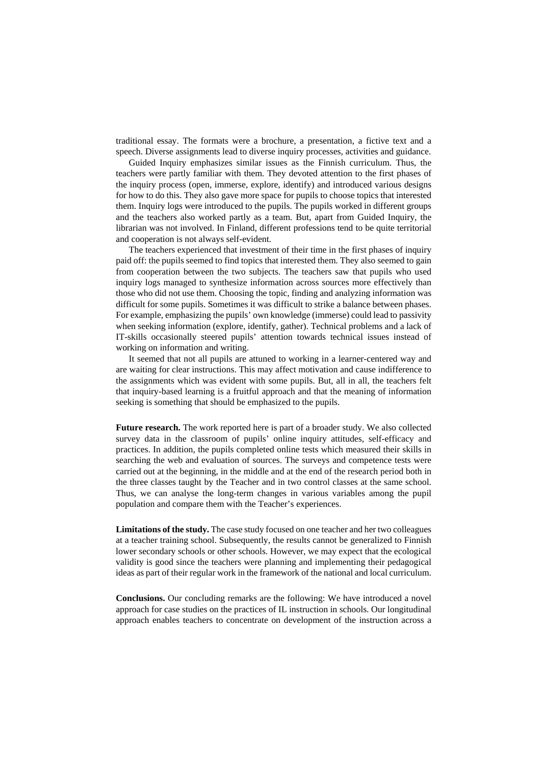traditional essay. The formats were a brochure, a presentation, a fictive text and a speech. Diverse assignments lead to diverse inquiry processes, activities and guidance.

Guided Inquiry emphasizes similar issues as the Finnish curriculum. Thus, the teachers were partly familiar with them. They devoted attention to the first phases of the inquiry process (open, immerse, explore, identify) and introduced various designs for how to do this. They also gave more space for pupils to choose topics that interested them. Inquiry logs were introduced to the pupils. The pupils worked in different groups and the teachers also worked partly as a team. But, apart from Guided Inquiry, the librarian was not involved. In Finland, different professions tend to be quite territorial and cooperation is not always self-evident.

The teachers experienced that investment of their time in the first phases of inquiry paid off: the pupils seemed to find topics that interested them. They also seemed to gain from cooperation between the two subjects. The teachers saw that pupils who used inquiry logs managed to synthesize information across sources more effectively than those who did not use them. Choosing the topic, finding and analyzing information was difficult for some pupils. Sometimes it was difficult to strike a balance between phases. For example, emphasizing the pupils' own knowledge (immerse) could lead to passivity when seeking information (explore, identify, gather). Technical problems and a lack of IT-skills occasionally steered pupils' attention towards technical issues instead of working on information and writing.

It seemed that not all pupils are attuned to working in a learner-centered way and are waiting for clear instructions. This may affect motivation and cause indifference to the assignments which was evident with some pupils. But, all in all, the teachers felt that inquiry-based learning is a fruitful approach and that the meaning of information seeking is something that should be emphasized to the pupils.

**Future research.** The work reported here is part of a broader study. We also collected survey data in the classroom of pupils' online inquiry attitudes, self-efficacy and practices. In addition, the pupils completed online tests which measured their skills in searching the web and evaluation of sources. The surveys and competence tests were carried out at the beginning, in the middle and at the end of the research period both in the three classes taught by the Teacher and in two control classes at the same school. Thus, we can analyse the long-term changes in various variables among the pupil population and compare them with the Teacher's experiences.

**Limitations of the study.** The case study focused on one teacher and her two colleagues at a teacher training school. Subsequently, the results cannot be generalized to Finnish lower secondary schools or other schools. However, we may expect that the ecological validity is good since the teachers were planning and implementing their pedagogical ideas as part of their regular work in the framework of the national and local curriculum.

**Conclusions.** Our concluding remarks are the following: We have introduced a novel approach for case studies on the practices of IL instruction in schools. Our longitudinal approach enables teachers to concentrate on development of the instruction across a